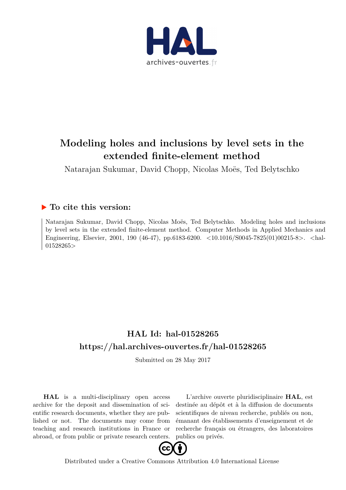

# **Modeling holes and inclusions by level sets in the extended finite-element method**

Natarajan Sukumar, David Chopp, Nicolas Moës, Ted Belytschko

# **To cite this version:**

Natarajan Sukumar, David Chopp, Nicolas Moës, Ted Belytschko. Modeling holes and inclusions by level sets in the extended finite-element method. Computer Methods in Applied Mechanics and Engineering, Elsevier, 2001, 190 (46-47), pp.6183-6200. <10.1016/S0045-7825(01)00215-8>. <hal-01528265>

# **HAL Id: hal-01528265 <https://hal.archives-ouvertes.fr/hal-01528265>**

Submitted on 28 May 2017

**HAL** is a multi-disciplinary open access archive for the deposit and dissemination of scientific research documents, whether they are published or not. The documents may come from teaching and research institutions in France or abroad, or from public or private research centers.

L'archive ouverte pluridisciplinaire **HAL**, est destinée au dépôt et à la diffusion de documents scientifiques de niveau recherche, publiés ou non, émanant des établissements d'enseignement et de recherche français ou étrangers, des laboratoires publics ou privés.



[Distributed under a Creative Commons Attribution 4.0 International License](http://creativecommons.org/licenses/by/4.0/)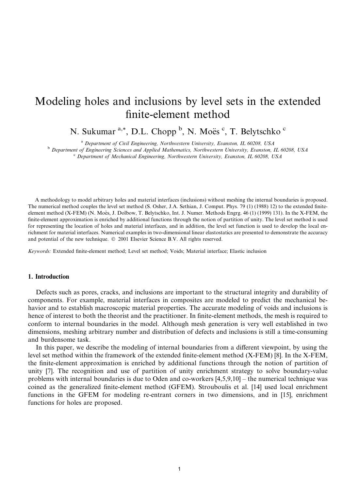# Modeling holes and inclusions by level sets in the extended finite-element method

N. Sukumar<sup>a,\*</sup>, D.L. Chopp<sup>b</sup>, N. Moës<sup>c</sup>, T. Belytschko<sup>c</sup>

<sup>a</sup> Department of Civil Engineering, Northwestern University, Evanston, IL 60208, USA

<sup>b</sup> Department of Engineering Sciences and Applied Mathematics, Northwestern University, Evanston, IL 60208, USA <sup>c</sup> Department of Mechanical Engineering, Northwestern University, Evanston, IL 60208, USA

A methodology to model arbitrary holes and material interfaces (inclusions) without meshing the internal boundaries is proposed. The numerical method couples the level set method (S. Osher, J.A. Sethian, J. Comput. Phys. 79 (1) (1988) 12) to the extended finiteelement method (X-FEM) (N. Moës, J. Dolbow, T. Belytschko, Int. J. Numer. Methods Engrg. 46 (1) (1999) 131). In the X-FEM, the finite-element approximation is enriched by additional functions through the notion of partition of unity. The level set method is used for representing the location of holes and material interfaces, and in addition, the level set function is used to develop the local enrichment for material interfaces. Numerical examples in two-dimensional linear elastostatics are presented to demonstrate the accuracy and potential of the new technique. © 2001 Elsevier Science B.V. All rights reserved.

Keywords: Extended finite-element method; Level set method; Voids; Material interface; Elastic inclusion

#### 1. Introduction

Defects such as pores, cracks, and inclusions are important to the structural integrity and durability of components. For example, material interfaces in composites are modeled to predict the mechanical behavior and to establish macroscopic material properties. The accurate modeling of voids and inclusions is hence of interest to both the theorist and the practitioner. In finite-element methods, the mesh is required to conform to internal boundaries in the model. Although mesh generation is very well established in two dimensions, meshing arbitrary number and distribution of defects and inclusions is still a time-consuming and burdensome task.

In this paper, we describe the modeling of internal boundaries from a different viewpoint, by using the level set method within the framework of the extended finite-element method (X-FEM) [8]. In the X-FEM, the finite-element approximation is enriched by additional functions through the notion of partition of unity [7]. The recognition and use of partition of unity enrichment strategy to solve boundary-value problems with internal boundaries is due to Oden and co-workers  $[4,5,9,10]$  – the numerical technique was coined as the generalized finite-element method (GFEM). Strouboulis et al. [14] used local enrichment functions in the GFEM for modeling re-entrant corners in two dimensions, and in [15], enrichment functions for holes are proposed.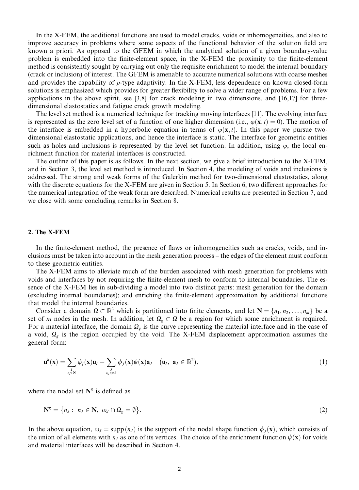In the X-FEM, the additional functions are used to model cracks, voids or inhomogeneities, and also to improve accuracy in problems where some aspects of the functional behavior of the solution field are known a priori. As opposed to the GFEM in which the analytical solution of a given boundary-value problem is embedded into the finite-element space, in the X-FEM the proximity to the finite-element method is consistently sought by carrying out only the requisite enrichment to model the internal boundary (crack or inclusion) of interest. The GFEM is amenable to accurate numerical solutions with coarse meshes and provides the capability of  $p$ -type adaptivity. In the X-FEM, less dependence on known closed-form solutions is emphasized which provides for greater flexibility to solve a wider range of problems. For a few applications in the above spirit, see [3,8] for crack modeling in two dimensions, and  $[16,17]$  for threedimensional elastostatics and fatigue crack growth modeling.

The level set method is a numerical technique for tracking moving interfaces [11]. The evolving interface is represented as the zero level set of a function of one higher dimension (i.e.,  $\varphi(\mathbf{x},t) = 0$ ). The motion of the interface is embedded in a hyperbolic equation in terms of  $\varphi(\mathbf{x},t)$ . In this paper we pursue twodimensional elastostatic applications, and hence the interface is static. The interface for geometric entities such as holes and inclusions is represented by the level set function. In addition, using  $\varphi$ , the local enrichment function for material interfaces is constructed.

The outline of this paper is as follows. In the next section, we give a brief introduction to the X-FEM, and in Section 3, the level set method is introduced. In Section 4, the modeling of voids and inclusions is addressed. The strong and weak forms of the Galerkin method for two-dimensional elastostatics, along with the discrete equations for the X-FEM are given in Section 5. In Section 6, two different approaches for the numerical integration of the weak form are described. Numerical results are presented in Section 7, and we close with some concluding remarks in Section 8.

# 2. The X-FEM

In the finite-element method, the presence of flaws or inhomogeneities such as cracks, voids, and inclusions must be taken into account in the mesh generation process – the edges of the element must conform to these geometric entities.

The X-FEM aims to alleviate much of the burden associated with mesh generation for problems with voids and interfaces by not requiring the finite-element mesh to conform to internal boundaries. The essence of the X-FEM lies in sub-dividing a model into two distinct parts: mesh generation for the domain (excluding internal boundaries); and enriching the finite-element approximation by additional functions that model the internal boundaries.

Consider a domain  $\Omega \subset \mathbb{R}^2$  which is partitioned into finite elements, and let  $N = \{n_1, n_2, \dots, n_m\}$  be a set of m nodes in the mesh. In addition, let  $\Omega_{g} \subset \Omega$  be a region for which some enrichment is required. For a material interface, the domain  $\Omega_g$  is the curve representing the material interface and in the case of a void,  $\Omega_g$  is the region occupied by the void. The X-FEM displacement approximation assumes the general form:

$$
\mathbf{u}^{h}(\mathbf{x}) = \sum_{\substack{I \\ n_I \in \mathbb{N}}} \phi_I(\mathbf{x}) \mathbf{u}_I + \sum_{\substack{J \\ n_J \in \mathbb{N}^g}} \phi_J(\mathbf{x}) \psi(\mathbf{x}) \mathbf{a}_J \quad (\mathbf{u}_I, \ \mathbf{a}_J \in \mathbb{R}^2), \tag{1}
$$

where the nodal set  $N<sup>g</sup>$  is defined as

$$
\mathbf{N}^g = \{ n_J : n_J \in \mathbf{N}, \omega_J \cap \Omega_g = \emptyset \}. \tag{2}
$$

In the above equation,  $\omega_j = \text{supp}(n_j)$  is the support of the nodal shape function  $\phi_j(\mathbf{x})$ , which consists of the union of all elements with  $n_j$  as one of its vertices. The choice of the enrichment function  $\psi(\mathbf{x})$  for voids and material interfaces will be described in Section 4.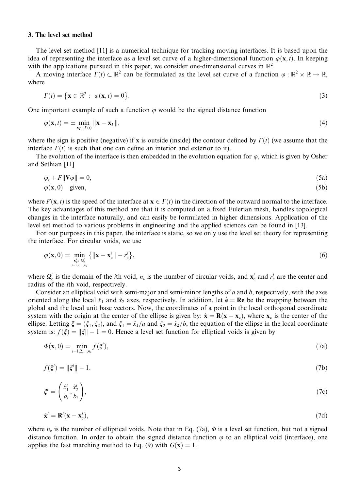#### 3. The level set method

The level set method [11] is a numerical technique for tracking moving interfaces. It is based upon the idea of representing the interface as a level set curve of a higher-dimensional function  $\varphi(\mathbf{x},t)$ . In keeping with the applications pursued in this paper, we consider one-dimensional curves in  $\mathbb{R}^2$ .

A moving interface  $\Gamma(t) \subset \mathbb{R}^2$  can be formulated as the level set curve of a function  $\varphi : \mathbb{R}^2 \times \mathbb{R} \to \mathbb{R}$ , where

$$
\Gamma(t) = \left\{ \mathbf{x} \in \mathbb{R}^2 : \varphi(\mathbf{x}, t) = 0 \right\}. \tag{3}
$$

One important example of such a function  $\varphi$  would be the signed distance function

$$
\varphi(\mathbf{x},t) = \pm \min_{\mathbf{x}_\Gamma \in \Gamma(t)} \|\mathbf{x} - \mathbf{x}_\Gamma\|,\tag{4}
$$

where the sign is positive (negative) if x is outside (inside) the contour defined by  $\Gamma(t)$  (we assume that the interface  $\Gamma(t)$  is such that one can define an interior and exterior to it).

The evolution of the interface is then embedded in the evolution equation for  $\varphi$ , which is given by Osher and Sethian [11]

$$
\varphi_t + F\|\nabla\varphi\| = 0,\tag{5a}
$$

$$
\varphi(\mathbf{x},0) \quad \text{given}, \tag{5b}
$$

where  $F(\mathbf{x}, t)$  is the speed of the interface at  $\mathbf{x} \in \Gamma(t)$  in the direction of the outward normal to the interface. The key advantages of this method are that it is computed on a fixed Eulerian mesh, handles topological changes in the interface naturally, and can easily be formulated in higher dimensions. Application of the level set method to various problems in engineering and the applied sciences can be found in [13].

For our purposes in this paper, the interface is static, so we only use the level set theory for representing the interface. For circular voids, we use

$$
\varphi(\mathbf{x},0) = \min_{\substack{\mathbf{x}_{\rm c}^i \in \Omega_{\rm c}^i\\i=1,2,\dots,n_{\rm c}}} \left\{ \|\mathbf{x} - \mathbf{x}_{\rm c}^i\| - r_{\rm c}^i \right\},\tag{6}
$$

where  $\Omega_c^i$  is the domain of the *i*th void,  $n_c$  is the number of circular voids, and  $x_c^i$  and  $r_c^i$  are the center and radius of the *i*th void, respectively.

Consider an elliptical void with semi-major and semi-minor lengths of  $a$  and  $b$ , respectively, with the axes oriented along the local  $\hat{x}_1$  and  $\hat{x}_2$  axes, respectively. In addition, let  $\hat{e} = \text{Re}$  be the mapping between the global and the local unit base vectors. Now, the coordinates of a point in the local orthogonal coordinate system with the origin at the center of the ellipse is given by:  $\hat{\mathbf{x}} = \mathbf{R}(\mathbf{x} - \mathbf{x}_c)$ , where  $\mathbf{x}_c$  is the center of the ellipse. Letting  $\xi = (\xi_1, \xi_2)$ , and  $\xi_1 = \hat{x}_1/a$  and  $\xi_2 = \hat{x}_2/b$ , the equation of the ellipse in the local coordinate system is:  $f(\xi) = ||\xi|| - 1 = 0$ . Hence a level set function for elliptical voids is given by

$$
\Phi(\mathbf{x},0) = \min_{i=1,2,\dots,n_e} f(\xi^i),\tag{7a}
$$

$$
f(\xi^i) = \|\xi^i\| - 1,\tag{7b}
$$

$$
\xi^{i} = \left(\frac{\hat{x}_{1}^{i}}{a_{i}}, \frac{\hat{x}_{2}^{i}}{b_{i}}\right),\tag{7c}
$$

$$
\hat{\mathbf{x}}^i = \mathbf{R}^i(\mathbf{x} - \mathbf{x}_c^i),\tag{7d}
$$

where  $n_e$  is the number of elliptical voids. Note that in Eq. (7a),  $\Phi$  is a level set function, but not a signed distance function. In order to obtain the signed distance function  $\varphi$  to an elliptical void (interface), one applies the fast marching method to Eq. (9) with  $G(\mathbf{x}) = 1$ .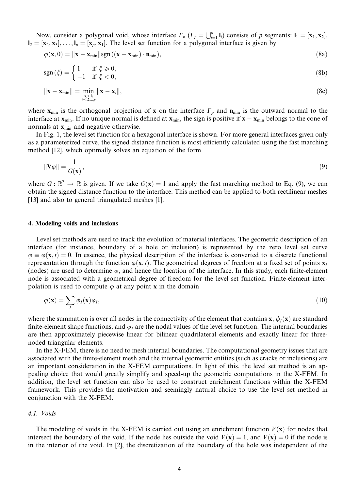Now, consider a polygonal void, whose interface  $\Gamma_p$  ( $\Gamma_p = \bigcup_{i=1}^p \mathbf{l}_i$ ) consists of p segments:  $\mathbf{l}_1 = [\mathbf{x}_1, \mathbf{x}_2],$  $I_2 = [\mathbf{x}_2, \mathbf{x}_3], \dots, I_p = [\mathbf{x}_p, \mathbf{x}_1].$  The level set function for a polygonal interface is given by

$$
\varphi(\mathbf{x},0) = \|\mathbf{x} - \mathbf{x}_{\min}\| \operatorname{sgn}\left((\mathbf{x} - \mathbf{x}_{\min}) \cdot \mathbf{n}_{\min}\right),\tag{8a}
$$

$$
sgn(\xi) = \begin{cases} 1 & \text{if } \xi \ge 0, \\ -1 & \text{if } \xi < 0, \end{cases}
$$
 (8b)

$$
\|\mathbf{x} - \mathbf{x}_{\min}\| = \min_{\substack{\mathbf{x}_i \in \mathbf{l}_i \\ i = 1, 2, \dots, p}} \|\mathbf{x} - \mathbf{x}_i\|,\tag{8c}
$$

where  $\mathbf{x}_{\text{min}}$  is the orthogonal projection of **x** on the interface  $\Gamma_p$  and  $\mathbf{n}_{\text{min}}$  is the outward normal to the interface at  $x_{min}$ . If no unique normal is defined at  $x_{min}$ , the sign is positive if  $x - x_{min}$  belongs to the cone of normals at  $\mathbf{x}_{\min}$  and negative otherwise.

In Fig. 1, the level set function for a hexagonal interface is shown. For more general interfaces given only as a parameterized curve, the signed distance function is most efficiently calculated using the fast marching method [12], which optimally solves an equation of the form

$$
\|\nabla \varphi\| = \frac{1}{G(\mathbf{x})},\tag{9}
$$

where  $G: \mathbb{R}^2 \to \mathbb{R}$  is given. If we take  $G(x) = 1$  and apply the fast marching method to Eq. (9), we can obtain the signed distance function to the interface. This method can be applied to both rectilinear meshes [13] and also to general triangulated meshes [1].

## 4. Modeling voids and inclusions

Level set methods are used to track the evolution of material interfaces. The geometric description of an interface (for instance, boundary of a hole or inclusion) is represented by the zero level set curve  $\varphi \equiv \varphi(\mathbf{x}, t) = 0$ . In essence, the physical description of the interface is converted to a discrete functional representation through the function  $\varphi(\mathbf{x},t)$ . The geometrical degrees of freedom at a fixed set of points  $\mathbf{x}_t$ (nodes) are used to determine  $\varphi$ , and hence the location of the interface. In this study, each finite-element node is associated with a geometrical degree of freedom for the level set function. Finite-element interpolation is used to compute  $\varphi$  at any point **x** in the domain

$$
\varphi(\mathbf{x}) = \sum_{I} \phi_{I}(\mathbf{x}) \varphi_{I},\tag{10}
$$

where the summation is over all nodes in the connectivity of the element that contains x,  $\phi_i(x)$  are standard finite-element shape functions, and  $\varphi$ , are the nodal values of the level set function. The internal boundaries are then approximately piecewise linear for bilinear quadrilateral elements and exactly linear for threenoded triangular elements.

In the X-FEM, there is no need to mesh internal boundaries. The computational geometry issues that are associated with the finite-element mesh and the internal geometric entities (such as cracks or inclusions) are an important consideration in the X-FEM computations. In light of this, the level set method is an appealing choice that would greatly simplify and speed-up the geometric computations in the X-FEM. In addition, the level set function can also be used to construct enrichment functions within the X-FEM framework. This provides the motivation and seemingly natural choice to use the level set method in conjunction with the X-FEM.

# 4.1. Voids

The modeling of voids in the X-FEM is carried out using an enrichment function  $V(x)$  for nodes that intersect the boundary of the void. If the node lies outside the void  $V(\mathbf{x}) = 1$ , and  $V(\mathbf{x}) = 0$  if the node is in the interior of the void. In [2], the discretization of the boundary of the hole was independent of the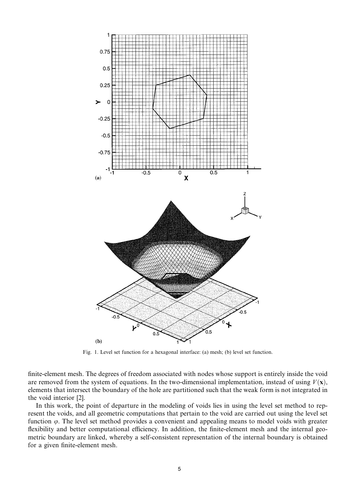

Fig. 1. Level set function for a hexagonal interface: (a) mesh; (b) level set function.

finite-element mesh. The degrees of freedom associated with nodes whose support is entirely inside the void are removed from the system of equations. In the two-dimensional implementation, instead of using  $V(\mathbf{x})$ , elements that intersect the boundary of the hole are partitioned such that the weak form is not integrated in the void interior [2].

In this work, the point of departure in the modeling of voids lies in using the level set method to represent the voids, and all geometric computations that pertain to the void are carried out using the level set function  $\varphi$ . The level set method provides a convenient and appealing means to model voids with greater flexibility and better computational efficiency. In addition, the finite-element mesh and the internal geometric boundary are linked, whereby a self-consistent representation of the internal boundary is obtained for a given finite-element mesh.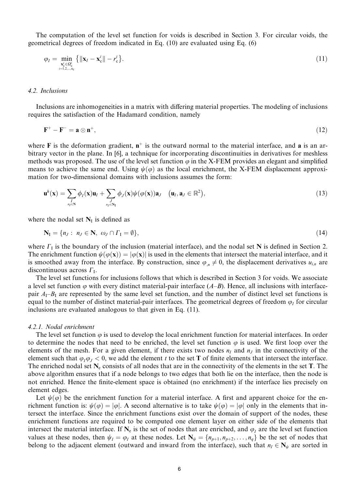The computation of the level set function for voids is described in Section 3. For circular voids, the geometrical degrees of freedom indicated in Eq. (10) are evaluated using Eq. (6)

$$
\varphi_I = \min_{\substack{\mathbf{x}_c^i \in \Omega_{\mathbf{c}}^j \\ i=1,2,\dots,n_c}} \left\{ \|\mathbf{x}_I - \mathbf{x}_c^i\| - r_c^i \right\}. \tag{11}
$$

# 4.2. Inclusions

Inclusions are inhomogeneities in a matrix with differing material properties. The modeling of inclusions requires the satisfaction of the Hadamard condition, namely

$$
\mathbf{F}^+ - \mathbf{F}^- = \mathbf{a} \otimes \mathbf{n}^+, \tag{12}
$$

where **F** is the deformation gradient,  $n^+$  is the outward normal to the material interface, and **a** is an arbitrary vector in the plane. In [6], a technique for incorporating discontinuities in derivatives for meshless methods was proposed. The use of the level set function  $\varphi$  in the X-FEM provides an elegant and simplified means to achieve the same end. Using  $\psi(\varphi)$  as the local enrichment, the X-FEM displacement approximation for two-dimensional domains with inclusions assumes the form:

$$
\mathbf{u}^{h}(\mathbf{x}) = \sum_{\substack{I \\ n_I \in \mathbf{N}}} \phi_I(\mathbf{x}) \mathbf{u}_I + \sum_{\substack{J \\ n_J \in \mathbf{N}_I}} \phi_J(\mathbf{x}) \psi(\varphi(\mathbf{x})) \mathbf{a}_J \quad (\mathbf{u}_I, \mathbf{a}_J \in \mathbb{R}^2), \tag{13}
$$

where the nodal set  $N_I$  is defined as

$$
\mathbf{N}_{\mathrm{I}} = \{n_{J} : n_{J} \in \mathbf{N}, \omega_{J} \cap \Gamma_{\mathrm{I}} = \emptyset\},\tag{14}
$$

where  $\Gamma$ <sub>I</sub> is the boundary of the inclusion (material interface), and the nodal set N is defined in Section 2. The enrichment function  $\psi(\varphi(\mathbf{x})) = |\varphi(\mathbf{x})|$  is used in the elements that intersect the material interface, and it is smoothed away from the interface. By construction, since  $\varphi_n \neq 0$ , the displacement derivatives  $u_{i,n}$  are discontinuous across  $\Gamma_{1}$ .

The level set functions for inclusions follows that which is described in Section 3 for voids. We associate a level set function  $\varphi$  with every distinct material-pair interface (A–B). Hence, all inclusions with interfacepair  $A_1$ – $B_1$  are represented by the same level set function, and the number of distinct level set functions is equal to the number of distinct material-pair interfaces. The geometrical degrees of freedom  $\varphi_I$  for circular inclusions are evaluated analogous to that given in Eq. (11).

#### 4.2.1. Nodal enrichment

The level set function  $\varphi$  is used to develop the local enrichment function for material interfaces. In order to determine the nodes that need to be enriched, the level set function  $\varphi$  is used. We first loop over the elements of the mesh. For a given element, if there exists two nodes  $n_l$  and  $n_l$  in the connectivity of the element such that  $\varphi_I \varphi_I < 0$ , we add the element t to the set **T** of finite elements that intersect the interface. The enriched nodal set  $N_e$  consists of all nodes that are in the connectivity of the elements in the set T. The above algorithm ensures that if a node belongs to two edges that both lie on the interface, then the node is not enriched. Hence the finite-element space is obtained (no enrichment) if the interface lies precisely on element edges.

Let  $\psi(\varphi)$  be the enrichment function for a material interface. A first and apparent choice for the enrichment function is:  $\psi(\varphi) = |\varphi|$ . A second alternative is to take  $\psi(\varphi) = |\varphi|$  only in the elements that intersect the interface. Since the enrichment functions exist over the domain of support of the nodes, these enrichment functions are required to be computed one element layer on either side of the elements that intersect the material interface. If  $N_e$  is the set of nodes that are enriched, and  $\varphi_l$  are the level set function values at these nodes, then  $\psi_I = \varphi_I$  at these nodes. Let  $N_{\psi} = \{n_{p+1}, n_{p+2}, \dots, n_q\}$  be the set of nodes that belong to the adjacent element (outward and inward from the interface), such that  $n_I \in N_{\psi}$  are sorted in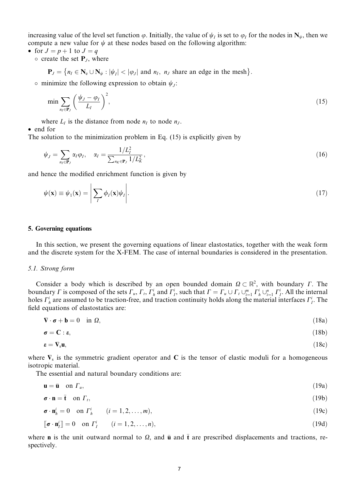increasing value of the level set function  $\varphi$ . Initially, the value of  $\psi_i$  is set to  $\varphi_i$  for the nodes in  $N_{\psi}$ , then we compute a new value for  $\psi$  at these nodes based on the following algorithm:

- for  $J = p + 1$  to  $J = q$ 
	- $\circ$  create the set  $P_{J}$ , where

$$
\mathbf{P}_J = \{ n_I \in \mathbf{N}_e \cup \mathbf{N}_{\psi} : |\psi_I| < |\varphi_J| \text{ and } n_I, n_J \text{ share an edge in the mesh} \}.
$$

• minimize the following expression to obtain  $\psi_i$ :

$$
\min \sum_{n_I \in \mathbf{P}_J} \left( \frac{\psi_J - \varphi_I}{L_I} \right)^2,\tag{15}
$$

where  $L<sub>I</sub>$  is the distance from node  $n<sub>I</sub>$  to node  $n<sub>J</sub>$ .

• end for

The solution to the minimization problem in Eq.  $(15)$  is explicitly given by

$$
\psi_J = \sum_{n_I \in \mathbf{P}_J} \alpha_I \varphi_I, \quad \alpha_I = \frac{1/L_I^2}{\sum_{n_K \in \mathbf{P}_J} 1/L_K^2},\tag{16}
$$

and hence the modified enrichment function is given by

$$
\psi(\mathbf{x}) \equiv \psi_1(\mathbf{x}) = \left| \sum_{I} \phi_I(\mathbf{x}) \psi_I \right| \tag{17}
$$

#### 5. Governing equations

In this section, we present the governing equations of linear elastostatics, together with the weak form and the discrete system for the X-FEM. The case of internal boundaries is considered in the presentation.

#### 5.1. Strong form

Consider a body which is described by an open bounded domain  $\Omega \subset \mathbb{R}^2$ , with boundary  $\Gamma$ . The boundary  $\Gamma$  is composed of the sets  $\Gamma_u$ ,  $\Gamma_t$ ,  $\Gamma_h^i$  and  $\Gamma_f^i$ , such that  $\Gamma = \Gamma_u \cup \Gamma_t \cup_{i=1}^m \Gamma_h^i \cup_{i=1}^n \Gamma_f^i$ . All the internal holes  $\Gamma_h^i$  are assumed to be traction-free, and traction continuity holds along the material interfaces  $\Gamma_h^i$ . The field equations of elastostatics are:

$$
\nabla \cdot \boldsymbol{\sigma} + \mathbf{b} = 0 \quad \text{in } \Omega,
$$
\n<sup>(18a)</sup>

$$
\boldsymbol{\sigma} = \mathbf{C} : \boldsymbol{\epsilon},\tag{18b}
$$

$$
\boldsymbol{\varepsilon} = \mathbf{V}_{\rm s} \mathbf{u},\tag{18c}
$$

where  $\nabla_s$  is the symmetric gradient operator and C is the tensor of elastic moduli for a homogeneous isotropic material.

The essential and natural boundary conditions are:

$$
\mathbf{u} = \bar{\mathbf{u}} \quad \text{on } \Gamma_u,\tag{19a}
$$

$$
\boldsymbol{\sigma} \cdot \mathbf{n} = \bar{\mathbf{t}} \quad \text{on } \Gamma_t,\tag{19b}
$$

$$
\boldsymbol{\sigma} \cdot \mathbf{n}_h^i = 0 \quad \text{on } \Gamma_h^i \qquad (i = 1, 2, \dots, m), \tag{19c}
$$

$$
\begin{bmatrix} \boldsymbol{\sigma} \cdot \mathbf{n}_i^i \end{bmatrix} = 0 \quad \text{on } \Gamma_i^i \qquad (i = 1, 2, \dots, n), \tag{19d}
$$

where **n** is the unit outward normal to  $\Omega$ , and **u** and **t** are prescribed displacements and tractions, respectively.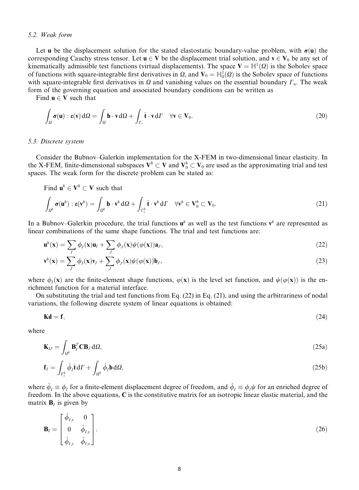# 5.2. Weak form

Let **u** be the displacement solution for the stated elastostatic boundary-value problem, with  $\sigma(\mathbf{u})$  the corresponding Cauchy stress tensor. Let  $u \in V$  be the displacement trial solution, and  $v \in V_0$  be any set of kinematically admissible test functions (virtual displacements). The space  $V = H^{1}(\Omega)$  is the Sobolev space of functions with square-integrable first derivatives in  $\Omega$ , and  $V_0 = \mathbb{H}_0^1(\Omega)$  is the Sobolev space of functions with square-integrable first derivatives in  $\Omega$  and vanishing values on the essential boundary  $\Gamma_u$ . The weak form of the governing equation and associated boundary conditions can be written as

Find  $\mathbf{u} \in \mathbf{V}$  such that

$$
\int_{\Omega} \boldsymbol{\sigma}(\mathbf{u}) : \boldsymbol{\varepsilon}(\mathbf{v}) d\Omega = \int_{\Omega} \mathbf{b} \cdot \mathbf{v} d\Omega + \int_{\Gamma_t} \bar{\mathbf{t}} \cdot \mathbf{v} d\Gamma \quad \forall \mathbf{v} \in \mathbf{V}_0.
$$
\n(20)

#### 5.3. Discrete system

Consider the Bubnov-Galerkin implementation for the X-FEM in two-dimensional linear elasticity. In the X-FEM, finite-dimensional subspaces  $V^h \subset V$  and  $V_0^h \subset V_0$  are used as the approximating trial and test spaces. The weak form for the discrete problem can be stated as:

Find  $\mathbf{u}^h \in \mathbf{V}^h \subset \mathbf{V}$  such that

$$
\int_{\Omega^h} \sigma(\mathbf{u}^h) : \mathbf{\varepsilon}(\mathbf{v}^h) = \int_{\Omega^h} \mathbf{b} \cdot \mathbf{v}^h \, d\Omega + \int_{\Gamma_t^h} \bar{\mathbf{t}} \cdot \mathbf{v}^h \, d\Gamma \quad \forall \mathbf{v}^h \in \mathbf{V}_0^h \subset \mathbf{V}_0.
$$
\n(21)

In a Bubnov-Galerkin procedure, the trial functions  $\mathbf{u}^h$  as well as the test functions  $\mathbf{v}^h$  are represented as linear combinations of the same shape functions. The trial and test functions are:

$$
\mathbf{u}^{h}(\mathbf{x}) = \sum_{I} \phi_{I}(\mathbf{x}) \mathbf{u}_{I} + \sum_{J} \phi_{J}(\mathbf{x}) \psi(\varphi(\mathbf{x})) \mathbf{a}_{J},
$$
\n(22)

$$
\mathbf{v}^{h}(\mathbf{x}) = \sum_{I} \phi_{I}(\mathbf{x}) \mathbf{v}_{I} + \sum_{J} \phi_{J}(\mathbf{x}) \psi(\varphi(\mathbf{x})) \mathbf{b}_{J},
$$
\n(23)

where  $\phi_{I}(\mathbf{x})$  are the finite-element shape functions,  $\phi(\mathbf{x})$  is the level set function, and  $\psi(\phi(\mathbf{x}))$  is the enrichment function for a material interface.

On substituting the trial and test functions from Eq. (22) in Eq. (21), and using the arbitrariness of nodal variations, the following discrete system of linear equations is obtained:

$$
\mathbf{Kd} = \mathbf{f},\tag{24}
$$

where

$$
\mathbf{K}_{IJ} = \int_{\Omega^h} \mathbf{B}_I^T \mathbf{C} \mathbf{B}_J \, \mathrm{d}\Omega, \tag{25a}
$$

$$
\mathbf{f}_I = \int_{\Gamma_I^h} \hat{\phi}_I \mathbf{\bar{t}} d\Gamma + \int_{\Omega^h} \hat{\phi}_I \mathbf{b} d\Omega, \tag{25b}
$$

where  $\hat{\phi}_I \equiv \phi_I$  for a finite-element displacement degree of freedom, and  $\hat{\phi}_I \equiv \phi_I \psi$  for an enriched degree of freedom. In the above equations, C is the constitutive matrix for an isotropic linear elastic material, and the matrix  $\mathbf{B}_l$  is given by

$$
\mathbf{B}_{I} = \begin{bmatrix} \hat{\phi}_{I,x} & 0 \\ 0 & \hat{\phi}_{I,y} \\ \hat{\phi}_{I,y} & \hat{\phi}_{I,x} \end{bmatrix} .
$$
 (26)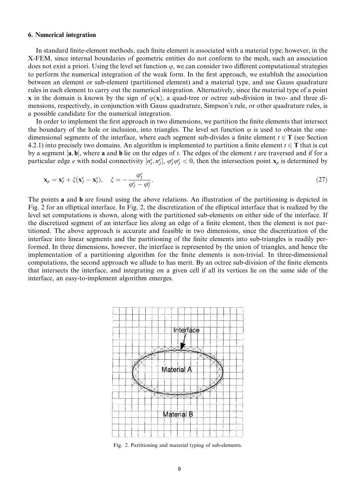# 6. Numerical integration

In standard finite-element methods, each finite element is associated with a material type; however, in the X-FEM, since internal boundaries of geometric entities do not conform to the mesh, such an association does not exist a priori. Using the level set function  $\varphi$ , we can consider two different computational strategies to perform the numerical integration of the weak form. In the first approach, we establish the association between an element or sub-element (partitioned element) and a material type, and use Gauss quadrature rules in each element to carry out the numerical integration. Alternatively, since the material type of a point x in the domain is known by the sign of  $\varphi(x)$ , a quad-tree or octree sub-division in two- and three dimensions, respectively, in conjunction with Gauss quadrature, Simpson's rule, or other quadrature rules, is a possible candidate for the numerical integration.

In order to implement the first approach in two dimensions, we partition the finite elements that intersect the boundary of the hole or inclusion, into triangles. The level set function  $\varphi$  is used to obtain the onedimensional segments of the interface, where each segment sub-divides a finite element  $t \in T$  (see Section 4.2.1) into precisely two domains. An algorithm is implemented to partition a finite element  $t \in T$  that is cut by a segment  $[a, b]$ , where a and b lie on the edges of t. The edges of the element t are traversed and if for a particular edge e with nodal connectivity  $[n_f^e, n_f^e]$ ,  $\varphi_f^e \varphi_f^e < 0$ , then the intersection point  $x_p$  is determined by

$$
\mathbf{x}_p = \mathbf{x}_I^e + \xi(\mathbf{x}_J^e - \mathbf{x}_I^e), \quad \xi = -\frac{\varphi_I^e}{\varphi_J^e - \varphi_I^e}.\tag{27}
$$

The points **a** and **b** are found using the above relations. An illustration of the partitioning is depicted in Fig. 2 for an elliptical interface. In Fig. 2, the discretization of the elliptical interface that is realized by the level set computations is shown, along with the partitioned sub-elements on either side of the interface. If the discretized segment of an interface lies along an edge of a finite element, then the element is not partitioned. The above approach is accurate and feasible in two dimensions, since the discretization of the interface into linear segments and the partitioning of the finite elements into sub-triangles is readily performed. In three dimensions, however, the interface is represented by the union of triangles, and hence the implementation of a partitioning algorithm for the finite elements is non-trivial. In three-dimensional computations, the second approach we allude to has merit. By an octree sub-division of the finite elements that intersects the interface, and integrating on a given cell if all its vertices lie on the same side of the interface, an easy-to-implement algorithm emerges.



Fig. 2. Partitioning and material typing of sub-elements.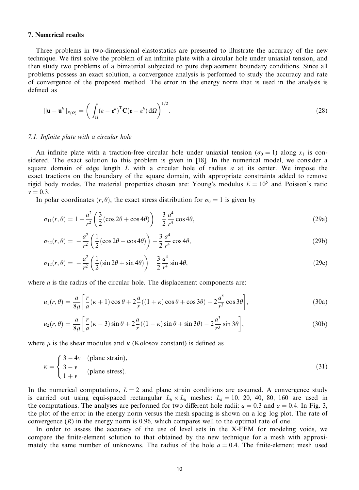### **7. Numerical results**

Three problems in two-dimensional elastostatics are presented to illustrate the accuracy of the new technique. We first solve the problem of an infinite plate with a circular hole under uniaxial tension, and then study two problems of a bimaterial subjected to pure displacement boundary conditions. Since all problems possess an exact solution, a convergence analysis is performed to study the accuracy and rate of convergence of the proposed method. The error in the energy norm that is used in the analysis is defined as

$$
\|\mathbf{u} - \mathbf{u}^h\|_{E(\Omega)} = \left(\int_{\Omega} (\mathbf{\varepsilon} - \mathbf{\varepsilon}^h)^{\mathrm{T}} \mathbf{C} (\mathbf{\varepsilon} - \mathbf{\varepsilon}^h) \, d\Omega\right)^{1/2}.
$$

# 7.1. Infinite plate with a circular hole

An infinite plate with a traction-free circular hole under uniaxial tension ( $\sigma_0 = 1$ ) along  $x_1$  is considered. The exact solution to this problem is given in [18]. In the numerical model, we consider a square domain of edge length  $L$  with a circular hole of radius  $a$  at its center. We impose the exact tractions on the boundary of the square domain, with appropriate constraints added to remove rigid body modes. The material properties chosen are: Young's modulus  $E = 10^5$  and Poisson's ratio  $v = 0.3$ .

In polar coordinates  $(r, \theta)$ , the exact stress distribution for  $\sigma_0 = 1$  is given by

$$
\sigma_{11}(r,\theta) = 1 - \frac{a^2}{r^2} \left(\frac{3}{2} (\cos 2\theta + \cos 4\theta) \right) - \frac{3}{2} \frac{a^4}{r^4} \cos 4\theta, \tag{29a}
$$

$$
\sigma_{22}(r,\theta) = -\frac{a^2}{r^2} \left(\frac{1}{2}(\cos 2\theta - \cos 4\theta)\right) - \frac{3}{2}\frac{a^4}{r^4}\cos 4\theta,\tag{29b}
$$

$$
\sigma_{12}(r,\theta) = -\frac{a^2}{r^2} \left(\frac{1}{2}(\sin 2\theta + \sin 4\theta)\right) \quad \frac{3}{2}\frac{a^4}{r^4}\sin 4\theta,\tag{29c}
$$

where  $a$  is the radius of the circular hole. The displacement components are:

$$
u_1(r,\theta) = \frac{a}{8\mu} \left[ \frac{r}{a} (\kappa + 1) \cos \theta + 2\frac{a}{r} ((1+\kappa)\cos \theta + \cos 3\theta) - 2\frac{a^3}{r^3} \cos 3\theta \right],
$$
 (30a)

$$
u_2(r,\theta) = \frac{a}{8\mu} \left[ \frac{r}{a} (\kappa - 3) \sin \theta + 2 \frac{a}{r} ((1 - \kappa) \sin \theta + \sin 3\theta) - 2 \frac{a^3}{r^3} \sin 3\theta \right],
$$
 (30b)

where  $\mu$  is the shear modulus and  $\kappa$  (Kolosov constant) is defined as

$$
\kappa = \begin{cases} 3 - 4\nu & \text{(plane strain)}, \\ \frac{3 - \nu}{1 + \nu} & \text{(plane stress)}. \end{cases}
$$
(31)

In the numerical computations,  $L = 2$  and plane strain conditions are assumed. A convergence study is carried out using equi-spaced rectangular  $L_h \times L_h$  meshes:  $L_h = 10$ , 20, 40, 80, 160 are used in the computations. The analyses are performed for two different hole radii:  $a = 0.3$  and  $a = 0.4$ . In Fig. 3, the plot of the error in the energy norm versus the mesh spacing is shown on a log-log plot. The rate of convergence  $(R)$  in the energy norm is 0.96, which compares well to the optimal rate of one.

In order to assess the accuracy of the use of level sets in the X-FEM for modeling voids, we compare the finite-element solution to that obtained by the new technique for a mesh with approximately the same number of unknowns. The radius of the hole  $a = 0.4$ . The finite-element mesh used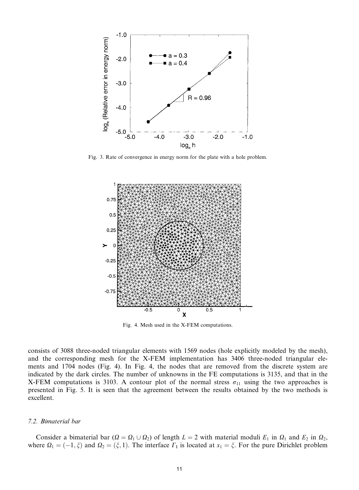

Fig. 3. Rate of convergence in energy norm for the plate with a hole problem.



Fig. 4. Mesh used in the X-FEM computations.

consists of 3088 three-noded triangular elements with 1569 nodes (hole explicitly modeled by the mesh), and the corresponding mesh for the X-FEM implementation has 3406 three-noded triangular elements and 1704 nodes (Fig. 4). In Fig. 4, the nodes that are removed from the discrete system are indicated by the dark circles. The number of unknowns in the FE computations is 3135, and that in the X-FEM computations is 3103. A contour plot of the normal stress  $\sigma_{11}$  using the two approaches is presented in Fig. 5. It is seen that the agreement between the results obtained by the two methods is excellent.

# 7.2. Bimaterial bar

Consider a bimaterial bar  $(Q = \Omega_1 \cup \Omega_2)$  of length  $L = 2$  with material moduli  $E_1$  in  $\Omega_1$  and  $E_2$  in  $\Omega_2$ , where  $\Omega_1 = (-1, \xi)$  and  $\Omega_2 = (\xi, 1)$ . The interface  $\Gamma_1$  is located at  $x_1 = \xi$ . For the pure Dirichlet problem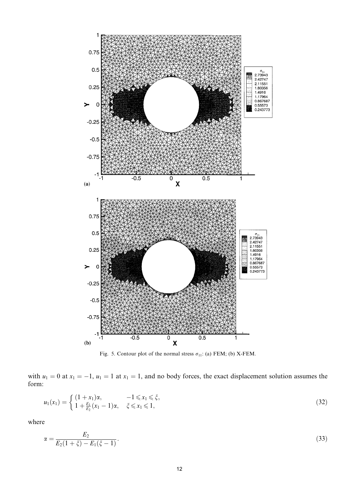

Fig. 5. Contour plot of the normal stress  $\sigma_{11}$ : (a) FEM; (b) X-FEM.

with  $u_1 = 0$  at  $x_1 = -1$ ,  $u_1 = 1$  at  $x_1 = 1$ , and no body forces, the exact displacement solution assumes the form:

$$
u_1(x_1) = \begin{cases} (1+x_1)\alpha, & -1 \leq x_1 \leq \xi, \\ 1 + \frac{E_1}{E_2}(x_1 - 1)\alpha, & \xi \leq x_1 \leq 1, \end{cases}
$$
(32)

where

$$
\alpha = \frac{E_2}{E_2(1+\xi) - E_1(\xi - 1)}.\tag{33}
$$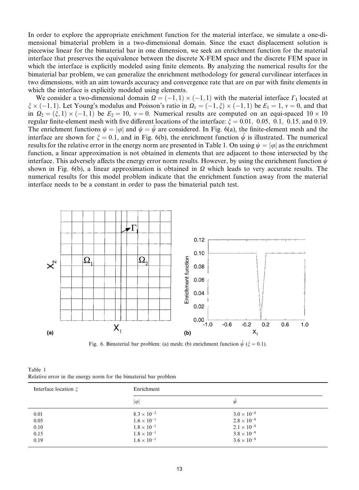In order to explore the appropriate enrichment function for the material interface, we simulate a one-dimensional bimaterial problem in a two-dimensional domain. Since the exact displacement solution is piecewise linear for the bimaterial bar in one dimension, we seek an enrichment function for the material interface that preserves the equivalence between the discrete X-FEM space and the discrete FEM space in which the interface is explicitly modeled using finite elements. By analyzing the numerical results for the bimaterial bar problem, we can generalize the enrichment methodology for general curvilinear interfaces in two dimensions, with an aim towards accuracy and convergence rate that are on par with finite elements in which the interface is explicitly modeled using elements.

We consider a two-dimensional domain  $\Omega = (-1, 1) \times (-1, 1)$  with the material interface  $\Gamma_I$  located at  $\xi \times (-1, 1)$ . Let Young's modulus and Poisson's ratio in  $\Omega_1 = (-1, \xi) \times (-1, 1)$  be  $E_1 = 1$ ,  $v = 0$ , and that in  $\Omega_2 = (\xi, 1) \times (-1, 1)$  be  $E_2 = 10$ ,  $v = 0$ . Numerical results are computed on an equi-spaced  $10 \times 10$ regular finite-element mesh with five different locations of the interface:  $\xi = 0.01, 0.05, 0.1, 0.15,$  and 0.19. The enrichment functions  $\psi = |\varphi|$  and  $\psi = \psi$  are considered. In Fig. 6(a), the finite-element mesh and the interface are shown for  $\xi = 0.1$ , and in Fig. 6(b), the enrichment function  $\psi$  is illustrated. The numerical results for the relative error in the energy norm are presented in Table 1. On using  $\psi = |\varphi|$  as the enrichment function, a linear approximation is not obtained in elements that are adjacent to those intersected by the interface. This adversely affects the energy error norm results. However, by using the enrichment function  $\psi$ shown in Fig. 6(b), a linear approximation is obtained in  $\Omega$  which leads to very accurate results. The numerical results for this model problem indicate that the enrichment function away from the material interface needs to be a constant in order to pass the bimaterial patch test.



Fig. 6. Bimaterial bar problem: (a) mesh; (b) enrichment function  $\hat{\psi}$  ( $\xi = 0.1$ ).

| Table 1                                                          |  |  |
|------------------------------------------------------------------|--|--|
| Relative error in the energy norm for the bimaterial bar problem |  |  |

| Interface location $\xi$ | Enrichment           |                      |  |  |
|--------------------------|----------------------|----------------------|--|--|
|                          | $ \varphi $          | ψ                    |  |  |
| 0.01                     | $8.3 \times 10^{-2}$ | $3.0 \times 10^{-8}$ |  |  |
| 0.05                     | $1.6 \times 10^{-1}$ | $2.8 \times 10^{-8}$ |  |  |
| 0.10                     | $1.8 \times 10^{-1}$ | $2.1 \times 10^{-8}$ |  |  |
| 0.15                     | $1.8\times10^{-1}$   | $3.8 \times 10^{-8}$ |  |  |
| 0.19                     | $1.6 \times 10^{-1}$ | $3.6 \times 10^{-8}$ |  |  |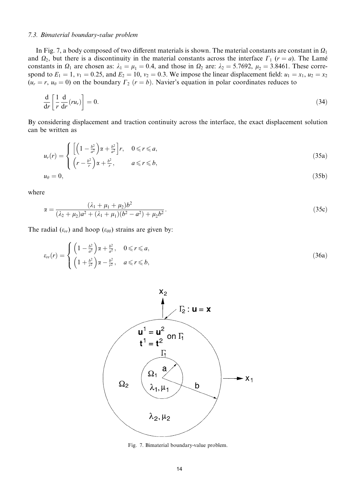#### 7.3. Bimaterial boundary-value problem

In Fig. 7, a body composed of two different materials is shown. The material constants are constant in  $\Omega_1$ and  $\Omega_2$ , but there is a discontinuity in the material constants across the interface  $\Gamma_1$  ( $r = a$ ). The Lamé constants in  $\Omega_1$  are chosen as:  $\lambda_1 = \mu_1 = 0.4$ , and those in  $\Omega_2$  are:  $\lambda_2 = 5.7692$ ,  $\mu_2 = 3.8461$ . These correspond to  $E_1 = 1$ ,  $v_1 = 0.25$ , and  $E_2 = 10$ ,  $v_2 = 0.3$ . We impose the linear displacement field:  $u_1 = x_1$ ,  $u_2 = x_2$  $(u_r = r, u_\theta = 0)$  on the boundary  $\Gamma_2$   $(r = b)$ . Navier's equation in polar coordinates reduces to

$$
\frac{\mathrm{d}}{\mathrm{d}r} \left[ \frac{1}{r} \frac{\mathrm{d}}{\mathrm{d}r} (r u_r) \right] = 0. \tag{34}
$$

By considering displacement and traction continuity across the interface, the exact displacement solution can be written as

$$
u_r(r) = \begin{cases} \left[ \left( 1 - \frac{b^2}{a^2} \right) \alpha + \frac{b^2}{a^2} \right] r, & 0 \le r \le a, \\ \left( r - \frac{b^2}{r} \right) \alpha + \frac{b^2}{r}, & a \le r \le b, \\ u_\theta = 0, & (35b) \end{cases}
$$

where

$$
\alpha = \frac{(\lambda_1 + \mu_1 + \mu_2)b^2}{(\lambda_2 + \mu_2)a^2 + (\lambda_1 + \mu_1)(b^2 - a^2) + \mu_2b^2}.
$$
\n(35c)

The radial  $(\varepsilon_{rr})$  and hoop  $(\varepsilon_{\theta\theta})$  strains are given by:

$$
\varepsilon_{rr}(r) = \begin{cases} \left(1 - \frac{b^2}{a^2}\right) \alpha + \frac{b^2}{a^2}, & 0 \le r \le a, \\ \left(1 + \frac{b^2}{r^2}\right) \alpha - \frac{b^2}{r^2}, & a \le r \le b, \end{cases}
$$
\n(36a)



Fig. 7. Bimaterial boundary-value problem.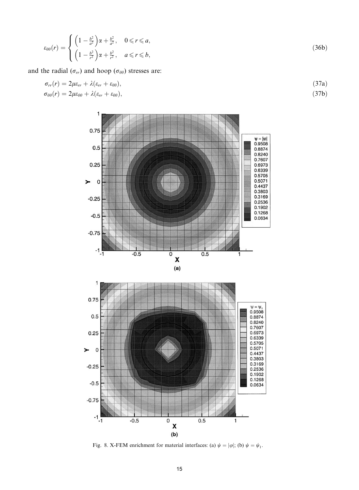$$
\varepsilon_{\theta\theta}(r) = \begin{cases} \left(1 - \frac{b^2}{a^2}\right)\alpha + \frac{b^2}{a^2}, & 0 \le r \le a, \\ \left(1 - \frac{b^2}{r^2}\right)\alpha + \frac{b^2}{r^2}, & a \le r \le b, \end{cases}
$$
\n
$$
(36b)
$$

and the radial  $(\sigma_{rr})$  and hoop  $(\sigma_{\theta\theta})$  stresses are:

$$
\sigma_{rr}(r) = 2\mu\varepsilon_{rr} + \lambda(\varepsilon_{rr} + \varepsilon_{\theta\theta}),
$$
  
\n
$$
\sigma_{\theta\theta}(r) = 2\mu\varepsilon_{\theta\theta} + \lambda(\varepsilon_{rr} + \varepsilon_{\theta\theta}),
$$
\n(37a)  
\n(37b)



Fig. 8. X-FEM enrichment for material interfaces: (a)  $\psi = |\varphi|$ ; (b)  $\psi = \psi_1$ .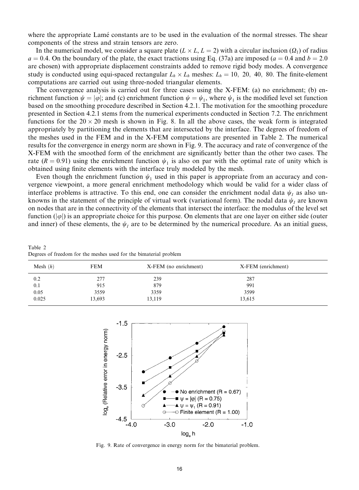where the appropriate Lamé constants are to be used in the evaluation of the normal stresses. The shear components of the stress and strain tensors are zero.

In the numerical model, we consider a square plate  $(L \times L, L = 2)$  with a circular inclusion  $(\Omega_1)$  of radius  $a = 0.4$ . On the boundary of the plate, the exact tractions using Eq. (37a) are imposed ( $a = 0.4$  and  $b = 2.0$ are chosen) with appropriate displacement constraints added to remove rigid body modes. A convergence study is conducted using equi-spaced rectangular  $L_h \times L_h$  meshes:  $L_h = 10$ , 20, 40, 80. The finite-element computations are carried out using three-noded triangular elements.

The convergence analysis is carried out for three cases using the X-FEM: (a) no enrichment; (b) enrichment function  $\psi = |\varphi|$ ; and (c) enrichment function  $\psi = \psi_1$ , where  $\psi_1$  is the modified level set function based on the smoothing procedure described in Section 4.2.1. The motivation for the smoothing procedure presented in Section 4.2.1 stems from the numerical experiments conducted in Section 7.2. The enrichment functions for the  $20 \times 20$  mesh is shown in Fig. 8. In all the above cases, the weak form is integrated appropriately by partitioning the elements that are intersected by the interface. The degrees of freedom of the meshes used in the FEM and in the X-FEM computations are presented in Table 2. The numerical results for the convergence in energy norm are shown in Fig. 9. The accuracy and rate of convergence of the X-FEM with the smoothed form of the enrichment are significantly better than the other two cases. The rate (R = 0.91) using the enrichment function  $\psi_1$  is also on par with the optimal rate of unity which is obtained using finite elements with the interface truly modeled by the mesh.

Even though the enrichment function  $\psi_1$  used in this paper is appropriate from an accuracy and convergence viewpoint, a more general enrichment methodology which would be valid for a wider class of interface problems is attractive. To this end, one can consider the enrichment nodal data  $\psi_l$  as also unknowns in the statement of the principle of virtual work (variational form). The nodal data  $\psi_i$  are known on nodes that are in the connectivity of the elements that intersect the interface: the modulus of the level set function ( $|\varphi|$ ) is an appropriate choice for this purpose. On elements that are one layer on either side (outer and inner) of these elements, the  $\psi_I$  are to be determined by the numerical procedure. As an initial guess,

Table 2 Degrees of freedom for the meshes used for the bimaterial problem

| Mesh $(h)$ | <b>FEM</b> | X-FEM (no enrichment) | X-FEM (enrichment) |  |
|------------|------------|-----------------------|--------------------|--|
| 0.2        | 277        | 239                   | 287                |  |
| 0.1        | 915        | 879                   | 991                |  |
| 0.05       | 3559       | 3359                  | 3599               |  |
| 0.025      | 13,693     | 13,119                | 13,615             |  |



Fig. 9. Rate of convergence in energy norm for the bimaterial problem.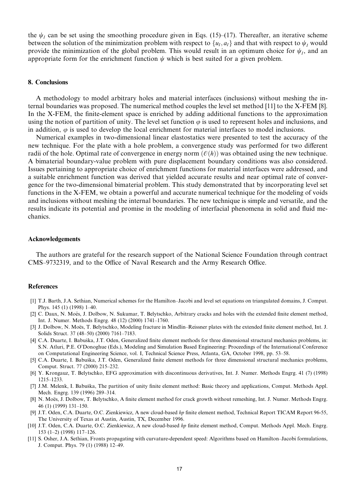the  $\psi_I$  can be set using the smoothing procedure given in Eqs. (15)–(17). Thereafter, an iterative scheme between the solution of the minimization problem with respect to  $\{u_1, a_1\}$  and that with respect to  $\psi_I$  would provide the minimization of the global problem. This would result in an optimum choice for  $\psi_i$ , and an appropriate form for the enrichment function  $\psi$  which is best suited for a given problem.

# 8. Conclusions

A methodology to model arbitrary holes and material interfaces (inclusions) without meshing the internal boundaries was proposed. The numerical method couples the level set method  $[11]$  to the X-FEM  $[8]$ . In the X-FEM, the finite-element space is enriched by adding additional functions to the approximation using the notion of partition of unity. The level set function  $\varphi$  is used to represent holes and inclusions, and in addition,  $\varphi$  is used to develop the local enrichment for material interfaces to model inclusions.

Numerical examples in two-dimensional linear elastostatics were presented to test the accuracy of the new technique. For the plate with a hole problem, a convergence study was performed for two different radii of the hole. Optimal rate of convergence in energy norm  $(\mathcal{O}(h))$  was obtained using the new technique. A bimaterial boundary-value problem with pure displacement boundary conditions was also considered. Issues pertaining to appropriate choice of enrichment functions for material interfaces were addressed, and a suitable enrichment function was derived that yielded accurate results and near optimal rate of convergence for the two-dimensional bimaterial problem. This study demonstrated that by incorporating level set functions in the X-FEM, we obtain a powerful and accurate numerical technique for the modeling of voids and inclusions without meshing the internal boundaries. The new technique is simple and versatile, and the results indicate its potential and promise in the modeling of interfacial phenomena in solid and fluid mechanics.

#### Acknowledgements

The authors are grateful for the research support of the National Science Foundation through contract CMS-9732319, and to the Office of Naval Research and the Army Research Office.

# **References**

- [1] T.J. Barth, J.A. Sethian, Numerical schemes for the Hamilton–Jacobi and level set equations on triangulated domains, J. Comput. Phys. 145 (1) (1998) 1-40.
- [2] C. Daux, N. Moës, J. Dolbow, N. Sukumar, T. Belytschko, Arbitrary cracks and holes with the extended finite element method, Int. J. Numer. Methods Engrg. 48 (12) (2000) 1741-1760.
- [3] J. Dolbow, N. Moës, T. Belytschko, Modeling fracture in Mindlin-Reissner plates with the extended finite element method, Int. J. Solids Struct. 37 (48-50) (2000) 7161-7183.
- [4] C.A. Duarte, I. Babuška, J.T. Oden, Generalized finite element methods for three dimensional structural mechanics problems, in: S.N. Atluri, P.E. O'Donoghue (Eds.), Modeling and Simulation Based Engineering: Proceedings of the International Conference on Computational Engineering Science, vol. I, Technical Science Press, Atlanta, GA, October 1998, pp. 53–58.
- [5] C.A. Duarte, I. Babuška, J.T. Oden, Generalized finite element methods for three dimensional structural mechanics problems, Comput. Struct. 77 (2000) 215-232.
- [6] Y. Krongauz, T. Belytschko, EFG approximation with discontinuous derivatives, Int. J. Numer. Methods Engrg. 41 (7) (1998)  $1215 - 1233$ .
- [7] J.M. Melenk, I. Babuška, The partition of unity finite element method: Basic theory and applications, Comput. Methods Appl. Mech. Engrg. 139 (1996) 289-314.
- [8] N. Moës, J. Dolbow, T. Belytschko, A finite element method for crack growth without remeshing, Int. J. Numer. Methods Engrg. 46 (1) (1999) 131-150.
- [9] J.T. Oden, C.A. Duarte, O.C. Zienkiewicz, A new cloud-based hp finite element method, Technical Report TICAM Report 96-55, The University of Texas at Austin, Austin, TX, December 1996.
- [10] J.T. Oden, C.A. Duarte, O.C. Zienkiewicz, A new cloud-based hp finite element method, Comput. Methods Appl. Mech. Engrg.  $153(1-2)(1998)117-126.$
- [11] S. Osher, J.A. Sethian, Fronts propagating with curvature-dependent speed: Algorithms based on Hamilton-Jacobi formulations, J. Comput. Phys. 79 (1) (1988) 12–49.